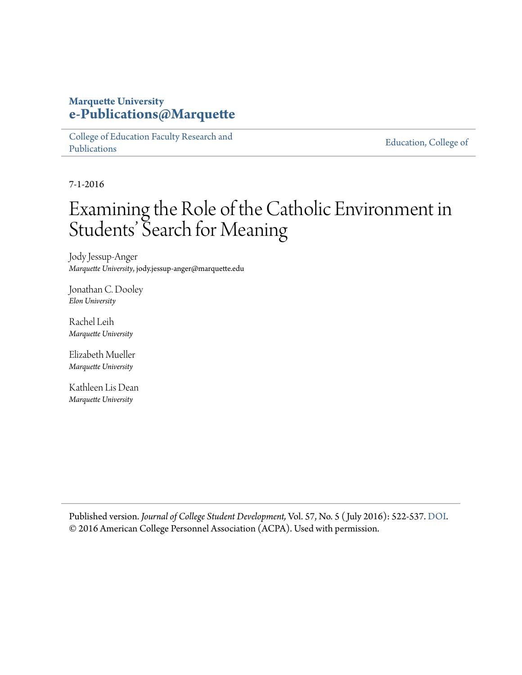### **Marquette University [e-Publications@Marquette](https://epublications.marquette.edu)**

[College of Education Faculty Research and](https://epublications.marquette.edu/edu_fac) [Publications](https://epublications.marquette.edu/edu_fac)

[Education, College of](https://epublications.marquette.edu/education)

7-1-2016

# Examining the Role of the Catholic Environment in Students' Search for Meaning

Jody Jessup-Anger *Marquette University*, jody.jessup-anger@marquette.edu

Jonathan C. Dooley *Elon University*

Rachel Leih *Marquette University*

Elizabeth Mueller *Marquette University*

Kathleen Lis Dean *Marquette University*

Published version. *Journal of College Student Development,* Vol. 57, No. 5 ( July 2016): 522-537. [DOI](http://dx.doi.org/10.1353/csd.2016.0055). © 2016 American College Personnel Association (ACPA). Used with permission.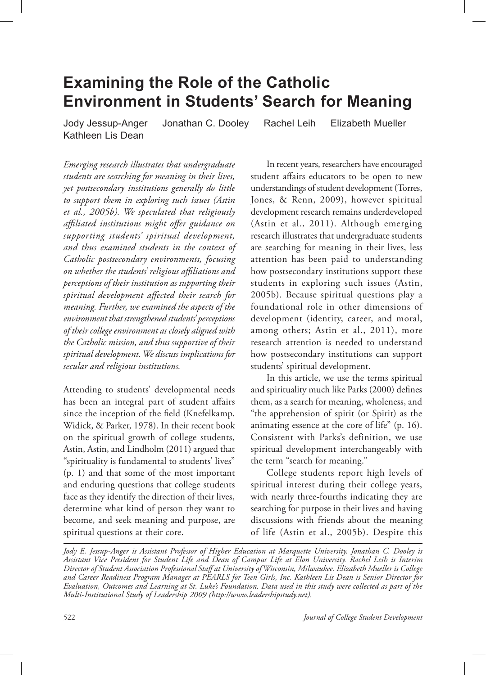## **Examining the Role of the Catholic Environment in Students' Search for Meaning**

Jody Jessup-Anger Jonathan C. Dooley Rachel Leih Elizabeth Mueller Kathleen Lis Dean

*Emerging research illustrates that undergraduate students are searching for meaning in their lives, yet postsecondary institutions generally do little to support them in exploring such issues (Astin et al., 2005b). We speculated that religiously affiliated institutions might offer guidance on supporting students' spiritual development, and thus examined students in the context of Catholic postsecondary environments, focusing on whether the students' religious affiliations and perceptions of their institution as supporting their spiritual development affected their search for meaning. Further, we examined the aspects of the environment that strengthened students' perceptions of their college environment as closely aligned with the Catholic mission, and thus supportive of their spiritual development. We discuss implications for secular and religious institutions.*

Attending to students' developmental needs has been an integral part of student affairs since the inception of the field (Knefelkamp, Widick, & Parker, 1978). In their recent book on the spiritual growth of college students, Astin, Astin, and Lindholm (2011) argued that "spirituality is fundamental to students' lives" (p. 1) and that some of the most important and enduring questions that college students face as they identify the direction of their lives, determine what kind of person they want to become, and seek meaning and purpose, are spiritual questions at their core.

In recent years, researchers have encouraged student affairs educators to be open to new understandings of student development (Torres, Jones, & Renn, 2009), however spiritual development research remains underdeveloped (Astin et al., 2011). Although emerging research illustrates that undergraduate students are searching for meaning in their lives, less attention has been paid to understanding how postsecondary institutions support these students in exploring such issues (Astin, 2005b). Because spiritual questions play a foundational role in other dimensions of development (identity, career, and moral, among others; Astin et al., 2011), more research attention is needed to understand how postsecondary institutions can support students' spiritual development.

In this article, we use the terms spiritual and spirituality much like Parks (2000) defines them, as a search for meaning, wholeness, and "the apprehension of spirit (or Spirit) as the animating essence at the core of life" (p. 16). Consistent with Parks's definition, we use spiritual development interchangeably with the term "search for meaning."

College students report high levels of spiritual interest during their college years, with nearly three-fourths indicating they are searching for purpose in their lives and having discussions with friends about the meaning of life (Astin et al., 2005b). Despite this

*Jody E. Jessup-Anger is Assistant Professor of Higher Education at Marquette University. Jonathan C. Dooley is Assistant Vice President for Student Life and Dean of Campus Life at Elon University. Rachel Leih is Interim Director of Student Association Professional Staff at University of Wisconsin, Milwaukee. Elizabeth Mueller is College and Career Readiness Program Manager at PEARLS for Teen Girls, Inc. Kathleen Lis Dean is Senior Director for Evaluation, Outcomes and Learning at St. Luke's Foundation. Data used in this study were collected as part of the Multi-Institutional Study of Leadership 2009 (http://www.leadershipstudy.net).*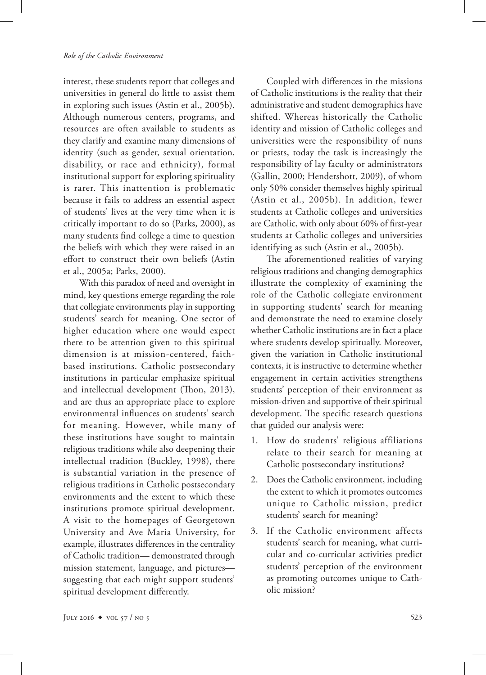interest, these students report that colleges and universities in general do little to assist them in exploring such issues (Astin et al., 2005b). Although numerous centers, programs, and resources are often available to students as they clarify and examine many dimensions of identity (such as gender, sexual orientation, disability, or race and ethnicity), formal institutional support for exploring spirituality is rarer. This inattention is problematic because it fails to address an essential aspect of students' lives at the very time when it is critically important to do so (Parks, 2000), as many students find college a time to question the beliefs with which they were raised in an effort to construct their own beliefs (Astin et al., 2005a; Parks, 2000).

With this paradox of need and oversight in mind, key questions emerge regarding the role that collegiate environments play in supporting students' search for meaning. One sector of higher education where one would expect there to be attention given to this spiritual dimension is at mission-centered, faithbased institutions. Catholic postsecondary institutions in particular emphasize spiritual and intellectual development (Thon, 2013), and are thus an appropriate place to explore environmental influences on students' search for meaning. However, while many of these institutions have sought to maintain religious traditions while also deepening their intellectual tradition (Buckley, 1998), there is substantial variation in the presence of religious traditions in Catholic postsecondary environments and the extent to which these institutions promote spiritual development. A visit to the homepages of Georgetown University and Ave Maria University, for example, illustrates differences in the centrality of Catholic tradition— demonstrated through mission statement, language, and pictures suggesting that each might support students' spiritual development differently.

Coupled with differences in the missions of Catholic institutions is the reality that their administrative and student demographics have shifted. Whereas historically the Catholic identity and mission of Catholic colleges and universities were the responsibility of nuns or priests, today the task is increasingly the responsibility of lay faculty or administrators (Gallin, 2000; Hendershott, 2009), of whom only 50% consider themselves highly spiritual (Astin et al., 2005b). In addition, fewer students at Catholic colleges and universities are Catholic, with only about 60% of first-year students at Catholic colleges and universities identifying as such (Astin et al., 2005b).

The aforementioned realities of varying religious traditions and changing demographics illustrate the complexity of examining the role of the Catholic collegiate environment in supporting students' search for meaning and demonstrate the need to examine closely whether Catholic institutions are in fact a place where students develop spiritually. Moreover, given the variation in Catholic institutional contexts, it is instructive to determine whether engagement in certain activities strengthens students' perception of their environment as mission-driven and supportive of their spiritual development. The specific research questions that guided our analysis were:

- 1. How do students' religious affiliations relate to their search for meaning at Catholic postsecondary institutions?
- 2. Does the Catholic environment, including the extent to which it promotes outcomes unique to Catholic mission, predict students' search for meaning?
- 3. If the Catholic environment affects students' search for meaning, what curricular and co-curricular activities predict students' perception of the environment as promoting outcomes unique to Catholic mission?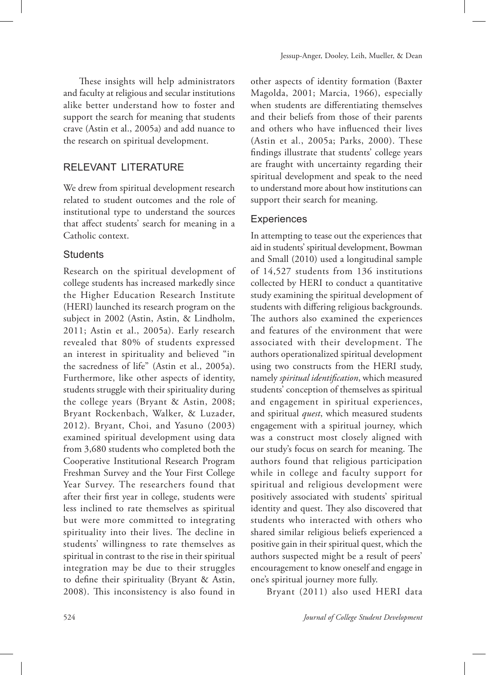These insights will help administrators and faculty at religious and secular institutions alike better understand how to foster and support the search for meaning that students crave (Astin et al., 2005a) and add nuance to the research on spiritual development.

#### RELEVANT LITERATURE

We drew from spiritual development research related to student outcomes and the role of institutional type to understand the sources that affect students' search for meaning in a Catholic context.

#### **Students**

Research on the spiritual development of college students has increased markedly since the Higher Education Research Institute (HERI) launched its research program on the subject in 2002 (Astin, Astin, & Lindholm, 2011; Astin et al., 2005a). Early research revealed that 80% of students expressed an interest in spirituality and believed "in the sacredness of life" (Astin et al., 2005a). Furthermore, like other aspects of identity, students struggle with their spirituality during the college years (Bryant & Astin, 2008; Bryant Rockenbach, Walker, & Luzader, 2012). Bryant, Choi, and Yasuno (2003) examined spiritual development using data from 3,680 students who completed both the Cooperative Institutional Research Program Freshman Survey and the Your First College Year Survey. The researchers found that after their first year in college, students were less inclined to rate themselves as spiritual but were more committed to integrating spirituality into their lives. The decline in students' willingness to rate themselves as spiritual in contrast to the rise in their spiritual integration may be due to their struggles to define their spirituality (Bryant & Astin, 2008). This inconsistency is also found in

other aspects of identity formation (Baxter Magolda, 2001; Marcia, 1966), especially when students are differentiating themselves and their beliefs from those of their parents and others who have influenced their lives (Astin et al., 2005a; Parks, 2000). These findings illustrate that students' college years are fraught with uncertainty regarding their spiritual development and speak to the need to understand more about how institutions can support their search for meaning.

#### **Experiences**

In attempting to tease out the experiences that aid in students' spiritual development, Bowman and Small (2010) used a longitudinal sample of 14,527 students from 136 institutions collected by HERI to conduct a quantitative study examining the spiritual development of students with differing religious backgrounds. The authors also examined the experiences and features of the environment that were associated with their development. The authors operationalized spiritual development using two constructs from the HERI study, namely *spiritual identification*, which measured students' conception of themselves as spiritual and engagement in spiritual experiences, and spiritual *quest*, which measured students engagement with a spiritual journey, which was a construct most closely aligned with our study's focus on search for meaning. The authors found that religious participation while in college and faculty support for spiritual and religious development were positively associated with students' spiritual identity and quest. They also discovered that students who interacted with others who shared similar religious beliefs experienced a positive gain in their spiritual quest, which the authors suspected might be a result of peers' encouragement to know oneself and engage in one's spiritual journey more fully.

Bryant (2011) also used HERI data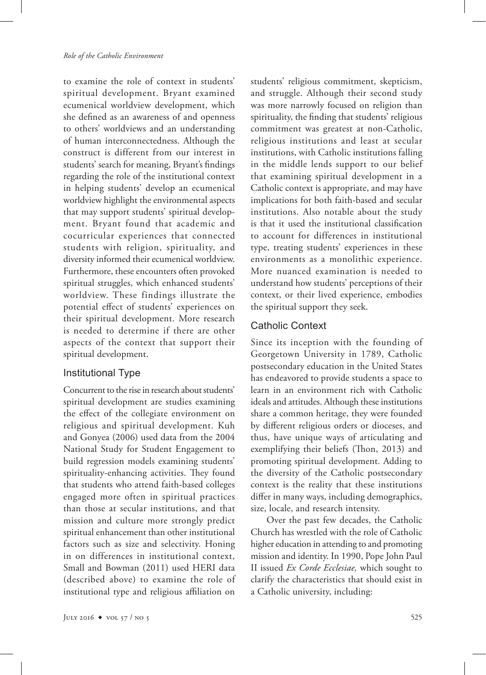to examine the role of context in students' spiritual development. Bryant examined ecumenical worldview development, which she defined as an awareness of and openness to others' worldviews and an understanding of human interconnectedness. Although the construct is different from our interest in students' search for meaning, Bryant's findings regarding the role of the institutional context in helping students' develop an ecumenical worldview highlight the environmental aspects that may support students' spiritual development. Bryant found that academic and cocurricular experiences that connected students with religion, spirituality, and diversity informed their ecumenical worldview. Furthermore, these encounters often provoked spiritual struggles, which enhanced students' worldview. These findings illustrate the potential effect of students' experiences on their spiritual development. More research is needed to determine if there are other aspects of the context that support their spiritual development.

#### Institutional Type

Concurrent to the rise in research about students' spiritual development are studies examining the effect of the collegiate environment on religious and spiritual development. Kuh and Gonyea (2006) used data from the 2004 National Study for Student Engagement to build regression models examining students' spirituality-enhancing activities. They found that students who attend faith-based colleges engaged more often in spiritual practices than those at secular institutions, and that mission and culture more strongly predict spiritual enhancement than other institutional factors such as size and selectivity. Honing in on differences in institutional context, Small and Bowman (2011) used HERI data (described above) to examine the role of institutional type and religious affiliation on

students' religious commitment, skepticism, and struggle. Although their second study was more narrowly focused on religion than spirituality, the finding that students' religious commitment was greatest at non-Catholic, religious institutions and least at secular institutions, with Catholic institutions falling in the middle lends support to our belief that examining spiritual development in a Catholic context is appropriate, and may have implications for both faith-based and secular institutions. Also notable about the study is that it used the institutional classification to account for differences in institutional type, treating students' experiences in these environments as a monolithic experience. More nuanced examination is needed to understand how students' perceptions of their context, or their lived experience, embodies the spiritual support they seek.

#### Catholic Context

Since its inception with the founding of Georgetown University in 1789, Catholic postsecondary education in the United States has endeavored to provide students a space to learn in an environment rich with Catholic ideals and attitudes. Although these institutions share a common heritage, they were founded by different religious orders or dioceses, and thus, have unique ways of articulating and exemplifying their beliefs (Thon, 2013) and promoting spiritual development. Adding to the diversity of the Catholic postsecondary context is the reality that these institutions differ in many ways, including demographics, size, locale, and research intensity.

Over the past few decades, the Catholic Church has wrestled with the role of Catholic higher education in attending to and promoting mission and identity. In 1990, Pope John Paul II issued *Ex Corde Ecclesiae,* which sought to clarify the characteristics that should exist in a Catholic university, including: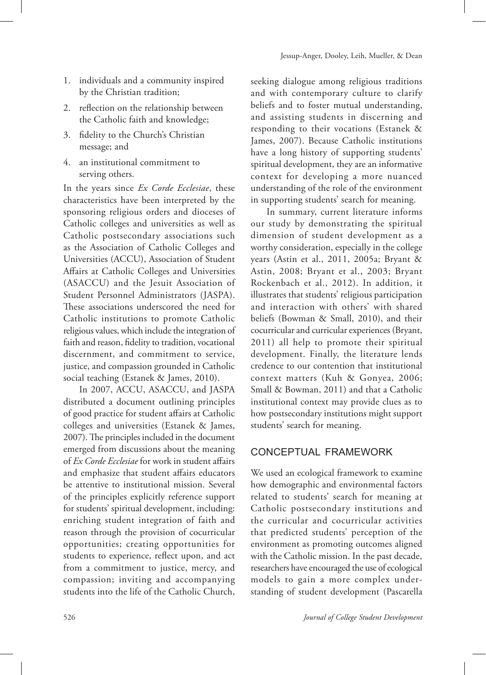- 1. individuals and a community inspired by the Christian tradition;
- 2. reflection on the relationship between the Catholic faith and knowledge;
- 3. fidelity to the Church's Christian message; and
- 4. an institutional commitment to serving others.

In the years since *Ex Corde Ecclesiae*, these characteristics have been interpreted by the sponsoring religious orders and dioceses of Catholic colleges and universities as well as Catholic postsecondary associations such as the Association of Catholic Colleges and Universities (ACCU), Association of Student Affairs at Catholic Colleges and Universities (ASACCU) and the Jesuit Association of Student Personnel Administrators (JASPA). These associations underscored the need for Catholic institutions to promote Catholic religious values, which include the integration of faith and reason, fidelity to tradition, vocational discernment, and commitment to service, justice, and compassion grounded in Catholic social teaching (Estanek & James, 2010).

In 2007, ACCU, ASACCU, and JASPA distributed a document outlining principles of good practice for student affairs at Catholic colleges and universities (Estanek & James, 2007). The principles included in the document emerged from discussions about the meaning of *Ex Corde Ecclesiae* for work in student affairs and emphasize that student affairs educators be attentive to institutional mission. Several of the principles explicitly reference support for students' spiritual development, including: enriching student integration of faith and reason through the provision of cocurricular opportunities; creating opportunities for students to experience, reflect upon, and act from a commitment to justice, mercy, and compassion; inviting and accompanying students into the life of the Catholic Church,

seeking dialogue among religious traditions and with contemporary culture to clarify beliefs and to foster mutual understanding, and assisting students in discerning and responding to their vocations (Estanek & James, 2007). Because Catholic institutions have a long history of supporting students' spiritual development, they are an informative context for developing a more nuanced understanding of the role of the environment in supporting students' search for meaning.

In summary, current literature informs our study by demonstrating the spiritual dimension of student development as a worthy consideration, especially in the college years (Astin et al., 2011, 2005a; Bryant & Astin, 2008; Bryant et al., 2003; Bryant Rockenbach et al., 2012). In addition, it illustrates that students' religious participation and interaction with others' with shared beliefs (Bowman & Small, 2010), and their cocurricular and curricular experiences (Bryant, 2011) all help to promote their spiritual development. Finally, the literature lends credence to our contention that institutional context matters (Kuh & Gonyea, 2006; Small & Bowman, 2011) and that a Catholic institutional context may provide clues as to how postsecondary institutions might support students' search for meaning.

#### CONCEPTUAL FRAMEWORK

We used an ecological framework to examine how demographic and environmental factors related to students' search for meaning at Catholic postsecondary institutions and the curricular and cocurricular activities that predicted students' perception of the environment as promoting outcomes aligned with the Catholic mission. In the past decade, researchers have encouraged the use of ecological models to gain a more complex understanding of student development (Pascarella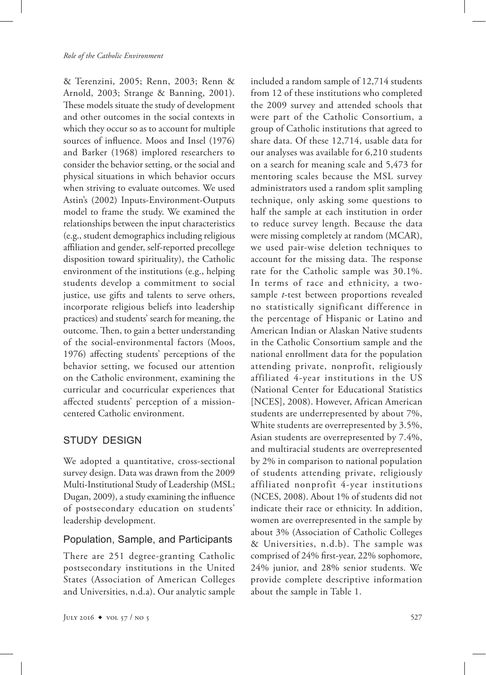& Terenzini, 2005; Renn, 2003; Renn & Arnold, 2003; Strange & Banning, 2001). These models situate the study of development and other outcomes in the social contexts in which they occur so as to account for multiple sources of influence. Moos and Insel (1976) and Barker (1968) implored researchers to consider the behavior setting, or the social and physical situations in which behavior occurs when striving to evaluate outcomes. We used Astin's (2002) Inputs-Environment-Outputs model to frame the study. We examined the relationships between the input characteristics (e.g., student demographics including religious affiliation and gender, self-reported precollege disposition toward spirituality), the Catholic environment of the institutions (e.g., helping students develop a commitment to social justice, use gifts and talents to serve others, incorporate religious beliefs into leadership practices) and students' search for meaning, the outcome. Then, to gain a better understanding of the social-environmental factors (Moos, 1976) affecting students' perceptions of the behavior setting, we focused our attention on the Catholic environment, examining the curricular and cocurricular experiences that affected students' perception of a missioncentered Catholic environment.

#### STUDY DESIGN

We adopted a quantitative, cross-sectional survey design. Data was drawn from the 2009 Multi-Institutional Study of Leadership (MSL; Dugan, 2009), a study examining the influence of postsecondary education on students' leadership development.

#### Population, Sample, and Participants

There are 251 degree-granting Catholic postsecondary institutions in the United States (Association of American Colleges and Universities, n.d.a). Our analytic sample

included a random sample of 12,714 students from 12 of these institutions who completed the 2009 survey and attended schools that were part of the Catholic Consortium, a group of Catholic institutions that agreed to share data. Of these 12,714, usable data for our analyses was available for 6,210 students on a search for meaning scale and 5,473 for mentoring scales because the MSL survey administrators used a random split sampling technique, only asking some questions to half the sample at each institution in order to reduce survey length. Because the data were missing completely at random (MCAR), we used pair-wise deletion techniques to account for the missing data. The response rate for the Catholic sample was 30.1%. In terms of race and ethnicity, a twosample *t*-test between proportions revealed no statistically significant difference in the percentage of Hispanic or Latino and American Indian or Alaskan Native students in the Catholic Consortium sample and the national enrollment data for the population attending private, nonprofit, religiously affiliated 4-year institutions in the US (National Center for Educational Statistics [NCES], 2008). However, African American students are underrepresented by about 7%, White students are overrepresented by 3.5%, Asian students are overrepresented by 7.4%, and multiracial students are overrepresented by 2% in comparison to national population of students attending private, religiously affiliated nonprofit 4-year institutions (NCES, 2008). About 1% of students did not indicate their race or ethnicity. In addition, women are overrepresented in the sample by about 3% (Association of Catholic Colleges & Universities, n.d.b). The sample was comprised of 24% first-year, 22% sophomore, 24% junior, and 28% senior students. We provide complete descriptive information about the sample in Table 1.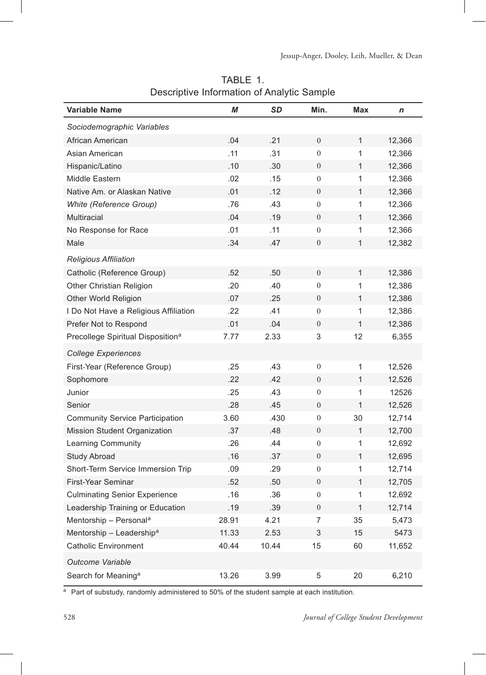| <b>Variable Name</b>                          | M     | <b>SD</b> | Min.             | Max          | n      |
|-----------------------------------------------|-------|-----------|------------------|--------------|--------|
| Sociodemographic Variables                    |       |           |                  |              |        |
| African American                              | .04   | .21       | $\boldsymbol{0}$ | $\mathbf{1}$ | 12,366 |
| Asian American                                | .11   | .31       | $\theta$         | 1            | 12,366 |
| Hispanic/Latino                               | .10   | .30       | $\boldsymbol{0}$ | 1            | 12,366 |
| Middle Eastern                                | .02   | .15       | $\boldsymbol{0}$ | 1            | 12,366 |
| Native Am. or Alaskan Native                  | .01   | .12       | $\boldsymbol{0}$ | 1            | 12,366 |
| White (Reference Group)                       | .76   | .43       | $\boldsymbol{0}$ | 1            | 12,366 |
| <b>Multiracial</b>                            | .04   | .19       | $\boldsymbol{0}$ | 1            | 12,366 |
| No Response for Race                          | .01   | .11       | $\theta$         | 1            | 12,366 |
| Male                                          | .34   | .47       | $\boldsymbol{0}$ | 1            | 12,382 |
| Religious Affiliation                         |       |           |                  |              |        |
| Catholic (Reference Group)                    | .52   | .50       | $\boldsymbol{0}$ | $\mathbf{1}$ | 12,386 |
| Other Christian Religion                      | .20   | .40       | $\boldsymbol{0}$ | 1            | 12,386 |
| Other World Religion                          | .07   | .25       | $\overline{0}$   | $\mathbf{1}$ | 12,386 |
| I Do Not Have a Religious Affiliation         | .22   | .41       | $\overline{0}$   | 1            | 12,386 |
| Prefer Not to Respond                         | .01   | .04       | $\overline{0}$   | 1            | 12,386 |
| Precollege Spiritual Disposition <sup>a</sup> | 7.77  | 2.33      | 3                | 12           | 6,355  |
| <b>College Experiences</b>                    |       |           |                  |              |        |
| First-Year (Reference Group)                  | .25   | .43       | $\theta$         | 1            | 12,526 |
| Sophomore                                     | .22   | .42       | $\boldsymbol{0}$ | $\mathbf{1}$ | 12,526 |
| Junior                                        | .25   | .43       | 0                | 1            | 12526  |
| Senior                                        | .28   | .45       | $\boldsymbol{0}$ | 1            | 12,526 |
| <b>Community Service Participation</b>        | 3.60  | .430      | $\boldsymbol{0}$ | 30           | 12,714 |
| Mission Student Organization                  | .37   | .48       | $\boldsymbol{0}$ | $\mathbf{1}$ | 12,700 |
| Learning Community                            | .26   | .44       | $\boldsymbol{0}$ | 1            | 12,692 |
| <b>Study Abroad</b>                           | .16   | .37       | $\overline{0}$   | 1            | 12,695 |
| Short-Term Service Immersion Trip             | .09   | .29       | $\boldsymbol{0}$ | 1            | 12,714 |
| First-Year Seminar                            | .52   | .50       | $\boldsymbol{0}$ | 1            | 12,705 |
| <b>Culminating Senior Experience</b>          | .16   | .36       | $\boldsymbol{0}$ | 1            | 12,692 |
| Leadership Training or Education              | .19   | .39       | $\boldsymbol{0}$ | 1            | 12,714 |
| Mentorship - Personal <sup>a</sup>            | 28.91 | 4.21      | 7                | 35           | 5,473  |
| Mentorship - Leadership <sup>a</sup>          | 11.33 | 2.53      | 3                | 15           | 5473   |
| Catholic Environment                          | 40.44 | 10.44     | 15               | 60           | 11,652 |
| Outcome Variable                              |       |           |                  |              |        |
| Search for Meaning <sup>a</sup>               | 13.26 | 3.99      | 5                | 20           | 6,210  |

TABLE 1. Descriptive Information of Analytic Sample

a Part of substudy, randomly administered to 50% of the student sample at each institution.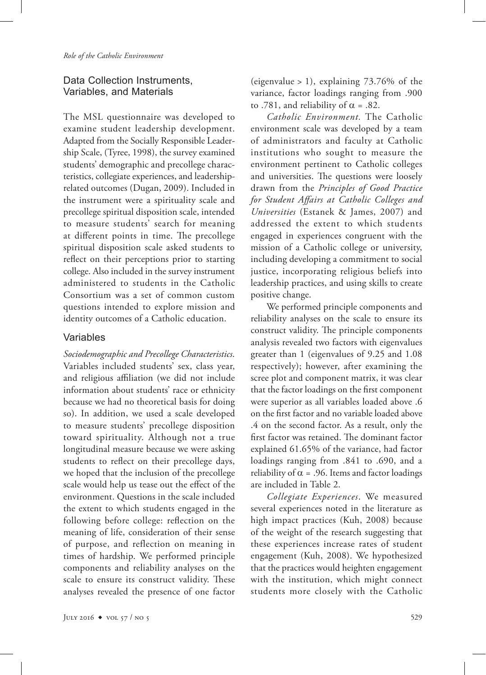#### Data Collection Instruments, Variables, and Materials

The MSL questionnaire was developed to examine student leadership development. Adapted from the Socially Responsible Leadership Scale, (Tyree, 1998), the survey examined students' demographic and precollege characteristics, collegiate experiences, and leadershiprelated outcomes (Dugan, 2009). Included in the instrument were a spirituality scale and precollege spiritual disposition scale, intended to measure students' search for meaning at different points in time. The precollege spiritual disposition scale asked students to reflect on their perceptions prior to starting college. Also included in the survey instrument administered to students in the Catholic Consortium was a set of common custom questions intended to explore mission and identity outcomes of a Catholic education.

#### Variables

*Sociodemographic and Precollege Characteristics*. Variables included students' sex, class year, and religious affiliation (we did not include information about students' race or ethnicity because we had no theoretical basis for doing so). In addition, we used a scale developed to measure students' precollege disposition toward spirituality. Although not a true longitudinal measure because we were asking students to reflect on their precollege days, we hoped that the inclusion of the precollege scale would help us tease out the effect of the environment. Questions in the scale included the extent to which students engaged in the following before college: reflection on the meaning of life, consideration of their sense of purpose, and reflection on meaning in times of hardship. We performed principle components and reliability analyses on the scale to ensure its construct validity. These analyses revealed the presence of one factor (eigenvalue > 1), explaining 73.76% of the variance, factor loadings ranging from .900 to .781, and reliability of  $\alpha$  = .82.

*Catholic Environment.* The Catholic environment scale was developed by a team of administrators and faculty at Catholic institutions who sought to measure the environment pertinent to Catholic colleges and universities. The questions were loosely drawn from the *Principles of Good Practice for Student Affairs at Catholic Colleges and Universities* (Estanek & James, 2007) and addressed the extent to which students engaged in experiences congruent with the mission of a Catholic college or university, including developing a commitment to social justice, incorporating religious beliefs into leadership practices, and using skills to create positive change.

We performed principle components and reliability analyses on the scale to ensure its construct validity. The principle components analysis revealed two factors with eigenvalues greater than 1 (eigenvalues of 9.25 and 1.08 respectively); however, after examining the scree plot and component matrix, it was clear that the factor loadings on the first component were superior as all variables loaded above .6 on the first factor and no variable loaded above .4 on the second factor. As a result, only the first factor was retained. The dominant factor explained 61.65% of the variance, had factor loadings ranging from .841 to .690, and a reliability of  $\alpha$  = .96. Items and factor loadings are included in Table 2.

*Collegiate Experiences*. We measured several experiences noted in the literature as high impact practices (Kuh, 2008) because of the weight of the research suggesting that these experiences increase rates of student engagement (Kuh, 2008). We hypothesized that the practices would heighten engagement with the institution, which might connect students more closely with the Catholic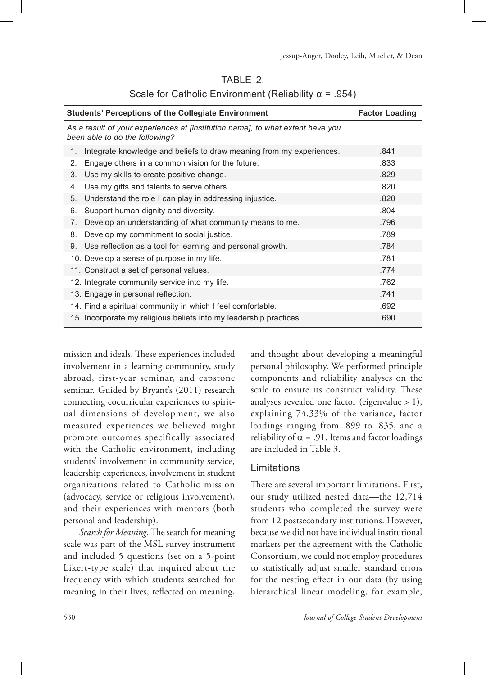| TABLE 2.                                                     |
|--------------------------------------------------------------|
| Scale for Catholic Environment (Reliability $\alpha$ = .954) |

| <b>Students' Perceptions of the Collegiate Environment</b><br><b>Factor Loading</b> |                                                                                                                  |      |  |  |  |
|-------------------------------------------------------------------------------------|------------------------------------------------------------------------------------------------------------------|------|--|--|--|
|                                                                                     | As a result of your experiences at [institution name], to what extent have you<br>been able to do the following? |      |  |  |  |
| 1.                                                                                  | Integrate knowledge and beliefs to draw meaning from my experiences.                                             | .841 |  |  |  |
| 2.                                                                                  | Engage others in a common vision for the future.                                                                 | .833 |  |  |  |
| 3.                                                                                  | Use my skills to create positive change.                                                                         | .829 |  |  |  |
| 4.                                                                                  | Use my gifts and talents to serve others.                                                                        | .820 |  |  |  |
| 5.                                                                                  | Understand the role I can play in addressing injustice.                                                          | .820 |  |  |  |
| 6.                                                                                  | Support human dignity and diversity.                                                                             | .804 |  |  |  |
| 7.                                                                                  | Develop an understanding of what community means to me.                                                          | .796 |  |  |  |
| 8.                                                                                  | Develop my commitment to social justice.                                                                         | .789 |  |  |  |
|                                                                                     | 9. Use reflection as a tool for learning and personal growth.                                                    | .784 |  |  |  |
|                                                                                     | 10. Develop a sense of purpose in my life.                                                                       | .781 |  |  |  |
|                                                                                     | 11. Construct a set of personal values.                                                                          | .774 |  |  |  |
|                                                                                     | 12. Integrate community service into my life.                                                                    | .762 |  |  |  |
|                                                                                     | 13. Engage in personal reflection.                                                                               | .741 |  |  |  |
|                                                                                     | 14. Find a spiritual community in which I feel comfortable.                                                      | .692 |  |  |  |
|                                                                                     | 15. Incorporate my religious beliefs into my leadership practices.                                               | .690 |  |  |  |

mission and ideals. These experiences included involvement in a learning community, study abroad, first-year seminar, and capstone seminar. Guided by Bryant's (2011) research connecting cocurricular experiences to spiritual dimensions of development, we also measured experiences we believed might promote outcomes specifically associated with the Catholic environment, including students' involvement in community service, leadership experiences, involvement in student organizations related to Catholic mission (advocacy, service or religious involvement), and their experiences with mentors (both personal and leadership).

*Search for Meaning.* The search for meaning scale was part of the MSL survey instrument and included 5 questions (set on a 5-point Likert-type scale) that inquired about the frequency with which students searched for meaning in their lives, reflected on meaning,

and thought about developing a meaningful personal philosophy. We performed principle components and reliability analyses on the scale to ensure its construct validity. These analyses revealed one factor (eigenvalue > 1), explaining 74.33% of the variance, factor loadings ranging from .899 to .835, and a reliability of  $\alpha$  = .91. Items and factor loadings are included in Table 3.

#### Limitations

There are several important limitations. First, our study utilized nested data—the 12,714 students who completed the survey were from 12 postsecondary institutions. However, because we did not have individual institutional markers per the agreement with the Catholic Consortium, we could not employ procedures to statistically adjust smaller standard errors for the nesting effect in our data (by using hierarchical linear modeling, for example,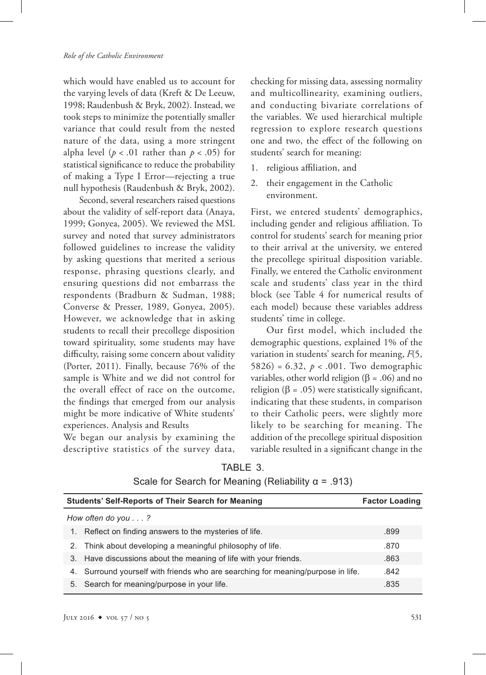which would have enabled us to account for the varying levels of data (Kreft & De Leeuw, 1998; Raudenbush & Bryk, 2002). Instead, we took steps to minimize the potentially smaller variance that could result from the nested nature of the data, using a more stringent alpha level ( $p < .01$  rather than  $p < .05$ ) for statistical significance to reduce the probability of making a Type I Error—rejecting a true null hypothesis (Raudenbush & Bryk, 2002).

Second, several researchers raised questions about the validity of self-report data (Anaya, 1999; Gonyea, 2005). We reviewed the MSL survey and noted that survey administrators followed guidelines to increase the validity by asking questions that merited a serious response, phrasing questions clearly, and ensuring questions did not embarrass the respondents (Bradburn & Sudman, 1988; Converse & Presser, 1989, Gonyea, 2005). However, we acknowledge that in asking students to recall their precollege disposition toward spirituality, some students may have difficulty, raising some concern about validity (Porter, 2011). Finally, because 76% of the sample is White and we did not control for the overall effect of race on the outcome, the findings that emerged from our analysis might be more indicative of White students' experiences. Analysis and Results

We began our analysis by examining the descriptive statistics of the survey data,

checking for missing data, assessing normality and multicollinearity, examining outliers, and conducting bivariate correlations of the variables. We used hierarchical multiple regression to explore research questions one and two, the effect of the following on students' search for meaning:

- 1. religious affiliation, and
- 2. their engagement in the Catholic environment.

First, we entered students' demographics, including gender and religious affiliation. To control for students' search for meaning prior to their arrival at the university, we entered the precollege spiritual disposition variable. Finally, we entered the Catholic environment scale and students' class year in the third block (see Table 4 for numerical results of each model) because these variables address students' time in college.

Our first model, which included the demographic questions, explained 1% of the variation in students' search for meaning, *F*(5, 5826) = 6.32,  $p < .001$ . Two demographic variables, other world religion ( $β = .06$ ) and no religion ( $β = .05$ ) were statistically significant, indicating that these students, in comparison to their Catholic peers, were slightly more likely to be searching for meaning. The addition of the precollege spiritual disposition variable resulted in a significant change in the

|    | <b>Students' Self-Reports of Their Search for Meaning</b>                        | <b>Factor Loading</b> |
|----|----------------------------------------------------------------------------------|-----------------------|
|    | How often do you $\ldots$ ?                                                      |                       |
| 1. | Reflect on finding answers to the mysteries of life.                             | .899                  |
|    | 2. Think about developing a meaningful philosophy of life.                       | .870                  |
|    | 3. Have discussions about the meaning of life with your friends.                 | .863                  |
|    | 4. Surround yourself with friends who are searching for meaning/purpose in life. | .842                  |
|    | 5. Search for meaning/purpose in your life.                                      | .835                  |

| TABLE 3.                                                   |  |
|------------------------------------------------------------|--|
| Scale for Search for Meaning (Reliability $\alpha$ = .913) |  |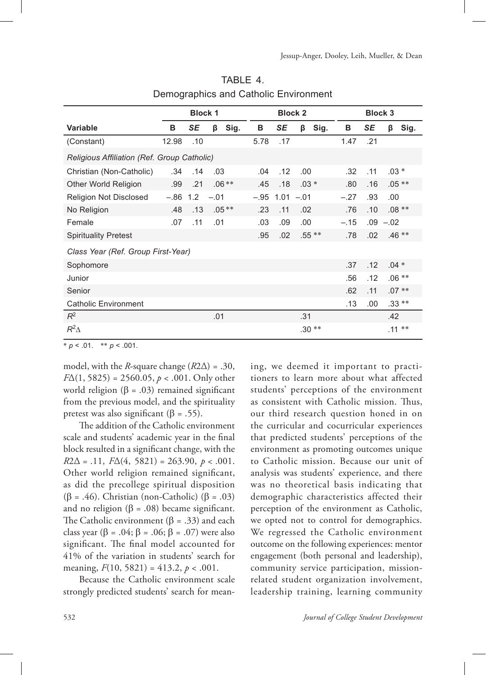|                                             | <b>Block 1</b> |     |         |      | <b>Block 2</b> |               |        | <b>Block 3</b> |        |     |             |      |
|---------------------------------------------|----------------|-----|---------|------|----------------|---------------|--------|----------------|--------|-----|-------------|------|
| Variable                                    | в              | SE  | β       | Sig. | в              | SE            | β      | Sig.           | в      | SE  | β           | Sig. |
| (Constant)                                  | 12.98          | .10 |         |      | 5.78           | .17           |        |                | 1.47   | .21 |             |      |
| Religious Affiliation (Ref. Group Catholic) |                |     |         |      |                |               |        |                |        |     |             |      |
| Christian (Non-Catholic)                    | .34            | .14 | .03     |      | .04            | .12           | .00.   |                | .32    | .11 | $.03*$      |      |
| Other World Religion                        | .99            | .21 | $.06**$ |      | .45            | .18           | $.03*$ |                | .80    | .16 | $.05**$     |      |
| Religion Not Disclosed                      | $-.86$         | 1.2 | $-.01$  |      | $-.95$         | $1.01 - 0.01$ |        |                | $-.27$ | .93 | .00.        |      |
| No Religion                                 | .48            | .13 | $.05**$ |      | .23            | .11           | .02    |                | .76    | .10 | $.08**$     |      |
| Female                                      | .07            | .11 | .01     |      | .03            | .09           | .00.   |                | $-.15$ |     | $.09 - .02$ |      |
| <b>Spirituality Pretest</b>                 |                |     |         |      | .95            | .02           |        | $.55**$        | .78    | .02 | $.46**$     |      |
| Class Year (Ref. Group First-Year)          |                |     |         |      |                |               |        |                |        |     |             |      |
| Sophomore                                   |                |     |         |      |                |               |        |                | .37    | .12 | $.04*$      |      |
| Junior                                      |                |     |         |      |                |               |        |                | .56    | .12 | $.06**$     |      |
| Senior                                      |                |     |         |      |                |               |        |                | .62    | .11 | $.07**$     |      |
| <b>Catholic Environment</b>                 |                |     |         |      |                |               |        |                | .13    | .00 | $.33**$     |      |
| $R^2$                                       |                |     | .01     |      |                |               | .31    |                |        |     | .42         |      |
| $R^2\Delta$                                 |                |     |         |      |                |               |        | $.30**$        |        |     | $.11***$    |      |

| TABLE 4.                              |
|---------------------------------------|
| Demographics and Catholic Environment |

\* *p* < .01. \*\* *p* < .001.

model, with the *R*-square change (*R*2∆) = .30, *F*∆(1, 5825) = 2560.05, *p* < .001. Only other world religion ( $\beta$  = .03) remained significant from the previous model, and the spirituality pretest was also significant (β = .55).

The addition of the Catholic environment scale and students' academic year in the final block resulted in a significant change, with the  $R2\Delta = .11$ ,  $F\Delta(4, 5821) = 263.90$ ,  $p < .001$ . Other world religion remained significant, as did the precollege spiritual disposition (β = .46). Christian (non-Catholic) (β = .03) and no religion ( $\beta$  = .08) became significant. The Catholic environment ( $\beta$  = .33) and each class year ( $\beta$  = .04;  $\beta$  = .06;  $\beta$  = .07) were also significant. The final model accounted for 41% of the variation in students' search for meaning,  $F(10, 5821) = 413.2, p < .001$ .

Because the Catholic environment scale strongly predicted students' search for mean-

ing, we deemed it important to practitioners to learn more about what affected students' perceptions of the environment as consistent with Catholic mission. Thus, our third research question honed in on the curricular and cocurricular experiences that predicted students' perceptions of the environment as promoting outcomes unique to Catholic mission. Because our unit of analysis was students' experience, and there was no theoretical basis indicating that demographic characteristics affected their perception of the environment as Catholic, we opted not to control for demographics. We regressed the Catholic environment outcome on the following experiences: mentor engagement (both personal and leadership), community service participation, missionrelated student organization involvement, leadership training, learning community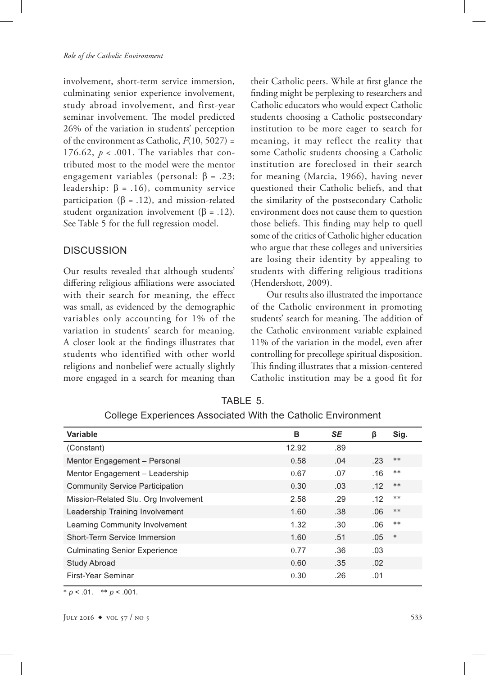involvement, short-term service immersion, culminating senior experience involvement, study abroad involvement, and first-year seminar involvement. The model predicted 26% of the variation in students' perception of the environment as Catholic, *F*(10, 5027) = 176.62,  $p < .001$ . The variables that contributed most to the model were the mentor engagement variables (personal:  $\beta$  = .23; leadership:  $\beta = .16$ ), community service participation ( $β = .12$ ), and mission-related student organization involvement  $(\beta = .12)$ . See Table 5 for the full regression model.

#### **DISCUSSION**

Our results revealed that although students' differing religious affiliations were associated with their search for meaning, the effect was small, as evidenced by the demographic variables only accounting for 1% of the variation in students' search for meaning. A closer look at the findings illustrates that students who identified with other world religions and nonbelief were actually slightly more engaged in a search for meaning than

their Catholic peers. While at first glance the finding might be perplexing to researchers and Catholic educators who would expect Catholic students choosing a Catholic postsecondary institution to be more eager to search for meaning, it may reflect the reality that some Catholic students choosing a Catholic institution are foreclosed in their search for meaning (Marcia, 1966), having never questioned their Catholic beliefs, and that the similarity of the postsecondary Catholic environment does not cause them to question those beliefs. This finding may help to quell some of the critics of Catholic higher education who argue that these colleges and universities are losing their identity by appealing to students with differing religious traditions (Hendershott, 2009).

Our results also illustrated the importance of the Catholic environment in promoting students' search for meaning. The addition of the Catholic environment variable explained 11% of the variation in the model, even after controlling for precollege spiritual disposition. This finding illustrates that a mission-centered Catholic institution may be a good fit for

| Variable                               | в     | <b>SE</b> | β                | Sig.  |
|----------------------------------------|-------|-----------|------------------|-------|
| (Constant)                             | 12.92 | .89       |                  |       |
| Mentor Engagement - Personal           | 0.58  | .04       | -23              | **    |
| Mentor Engagement - Leadership         | 0.67  | .07       | .16              | **    |
| <b>Community Service Participation</b> | 0.30  | .03       | .12              | $**$  |
| Mission-Related Stu. Org Involvement   | 2.58  | .29       | .12              | **    |
| Leadership Training Involvement        | 1.60  | .38       | .06              | $**$  |
| Learning Community Involvement         | 1.32  | .30       | .06              | $***$ |
| Short-Term Service Immersion           | 1.60  | .51       | .05              | ∗     |
| <b>Culminating Senior Experience</b>   | 0.77  | .36       | .03              |       |
| <b>Study Abroad</b>                    | 0.60  | .35       | .02 <sub>1</sub> |       |
| First-Year Seminar                     | 0.30  | .26       | .01              |       |

TABLE 5. College Experiences Associated With the Catholic Environment

 $* p < 01$ . \*\*  $p < 001$ .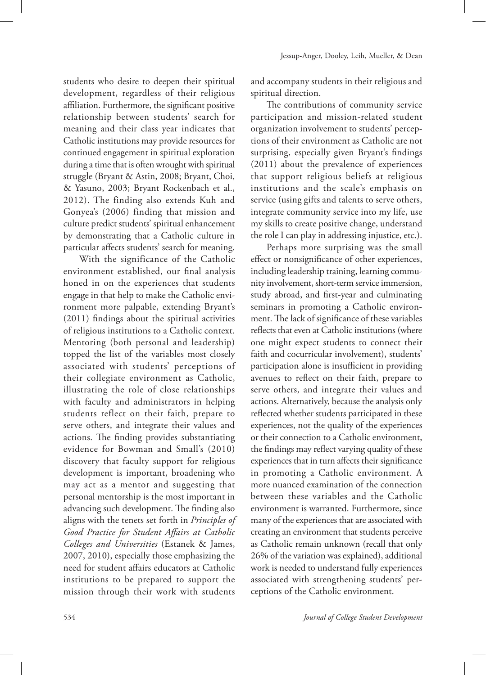students who desire to deepen their spiritual development, regardless of their religious affiliation. Furthermore, the significant positive relationship between students' search for meaning and their class year indicates that Catholic institutions may provide resources for continued engagement in spiritual exploration during a time that is often wrought with spiritual struggle (Bryant & Astin, 2008; Bryant, Choi, & Yasuno, 2003; Bryant Rockenbach et al., 2012). The finding also extends Kuh and Gonyea's (2006) finding that mission and culture predict students' spiritual enhancement by demonstrating that a Catholic culture in particular affects students' search for meaning.

With the significance of the Catholic environment established, our final analysis honed in on the experiences that students engage in that help to make the Catholic environment more palpable, extending Bryant's (2011) findings about the spiritual activities of religious institutions to a Catholic context. Mentoring (both personal and leadership) topped the list of the variables most closely associated with students' perceptions of their collegiate environment as Catholic, illustrating the role of close relationships with faculty and administrators in helping students reflect on their faith, prepare to serve others, and integrate their values and actions. The finding provides substantiating evidence for Bowman and Small's (2010) discovery that faculty support for religious development is important, broadening who may act as a mentor and suggesting that personal mentorship is the most important in advancing such development. The finding also aligns with the tenets set forth in *Principles of Good Practice for Student Affairs at Catholic Colleges and Universities* (Estanek & James, 2007, 2010), especially those emphasizing the need for student affairs educators at Catholic institutions to be prepared to support the mission through their work with students

and accompany students in their religious and spiritual direction.

The contributions of community service participation and mission-related student organization involvement to students' perceptions of their environment as Catholic are not surprising, especially given Bryant's findings (2011) about the prevalence of experiences that support religious beliefs at religious institutions and the scale's emphasis on service (using gifts and talents to serve others, integrate community service into my life, use my skills to create positive change, understand the role I can play in addressing injustice, etc.).

Perhaps more surprising was the small effect or nonsignificance of other experiences, including leadership training, learning community involvement, short-term service immersion, study abroad, and first-year and culminating seminars in promoting a Catholic environment. The lack of significance of these variables reflects that even at Catholic institutions (where one might expect students to connect their faith and cocurricular involvement), students' participation alone is insufficient in providing avenues to reflect on their faith, prepare to serve others, and integrate their values and actions. Alternatively, because the analysis only reflected whether students participated in these experiences, not the quality of the experiences or their connection to a Catholic environment, the findings may reflect varying quality of these experiences that in turn affects their significance in promoting a Catholic environment. A more nuanced examination of the connection between these variables and the Catholic environment is warranted. Furthermore, since many of the experiences that are associated with creating an environment that students perceive as Catholic remain unknown (recall that only 26% of the variation was explained), additional work is needed to understand fully experiences associated with strengthening students' perceptions of the Catholic environment.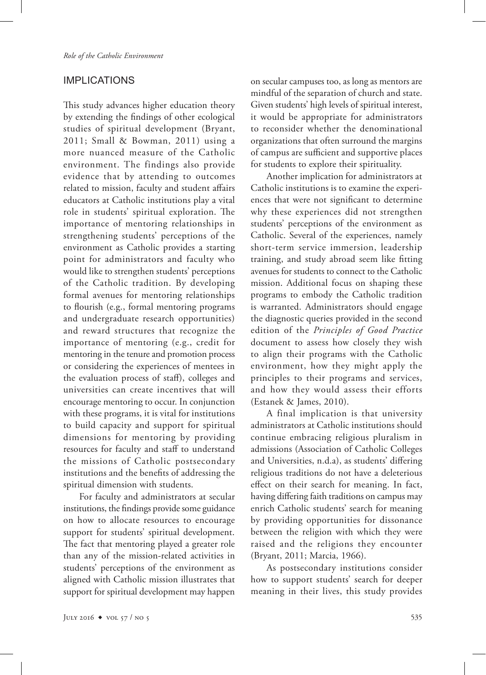#### IMPLICATIONS

This study advances higher education theory by extending the findings of other ecological studies of spiritual development (Bryant, 2011; Small & Bowman, 2011) using a more nuanced measure of the Catholic environment. The findings also provide evidence that by attending to outcomes related to mission, faculty and student affairs educators at Catholic institutions play a vital role in students' spiritual exploration. The importance of mentoring relationships in strengthening students' perceptions of the environment as Catholic provides a starting point for administrators and faculty who would like to strengthen students' perceptions of the Catholic tradition. By developing formal avenues for mentoring relationships to flourish (e.g., formal mentoring programs and undergraduate research opportunities) and reward structures that recognize the importance of mentoring (e.g., credit for mentoring in the tenure and promotion process or considering the experiences of mentees in the evaluation process of staff), colleges and universities can create incentives that will encourage mentoring to occur. In conjunction with these programs, it is vital for institutions to build capacity and support for spiritual dimensions for mentoring by providing resources for faculty and staff to understand the missions of Catholic postsecondary institutions and the benefits of addressing the spiritual dimension with students.

For faculty and administrators at secular institutions, the findings provide some guidance on how to allocate resources to encourage support for students' spiritual development. The fact that mentoring played a greater role than any of the mission-related activities in students' perceptions of the environment as aligned with Catholic mission illustrates that support for spiritual development may happen

on secular campuses too, as long as mentors are mindful of the separation of church and state. Given students' high levels of spiritual interest, it would be appropriate for administrators to reconsider whether the denominational organizations that often surround the margins of campus are sufficient and supportive places for students to explore their spirituality.

Another implication for administrators at Catholic institutions is to examine the experiences that were not significant to determine why these experiences did not strengthen students' perceptions of the environment as Catholic. Several of the experiences, namely short-term service immersion, leadership training, and study abroad seem like fitting avenues for students to connect to the Catholic mission. Additional focus on shaping these programs to embody the Catholic tradition is warranted. Administrators should engage the diagnostic queries provided in the second edition of the *Principles of Good Practice*  document to assess how closely they wish to align their programs with the Catholic environment, how they might apply the principles to their programs and services, and how they would assess their efforts (Estanek & James, 2010).

A final implication is that university administrators at Catholic institutions should continue embracing religious pluralism in admissions (Association of Catholic Colleges and Universities, n.d.a), as students' differing religious traditions do not have a deleterious effect on their search for meaning. In fact, having differing faith traditions on campus may enrich Catholic students' search for meaning by providing opportunities for dissonance between the religion with which they were raised and the religions they encounter (Bryant, 2011; Marcia, 1966).

As postsecondary institutions consider how to support students' search for deeper meaning in their lives, this study provides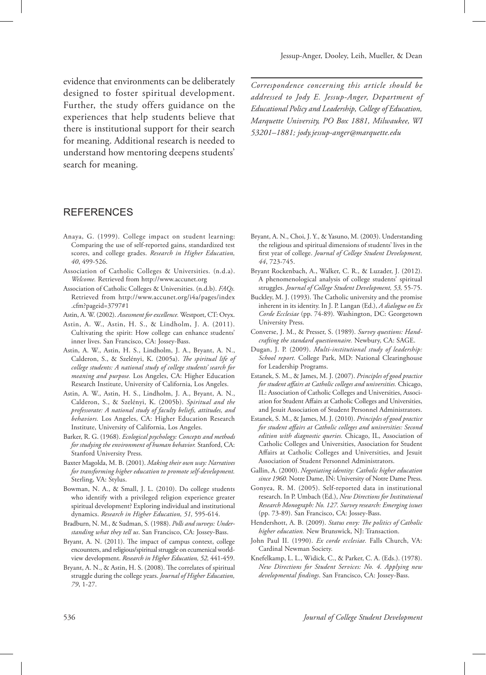evidence that environments can be deliberately designed to foster spiritual development. Further, the study offers guidance on the experiences that help students believe that there is institutional support for their search for meaning. Additional research is needed to understand how mentoring deepens students' search for meaning.

*Correspondence concerning this article should be addressed to Jody E. Jessup-Anger, Department of Educational Policy and Leadership, College of Education, Marquette University, PO Box 1881, Milwaukee, WI 53201–1881; jody.jessup-anger@marquette.edu*

#### REFERENCES

- Anaya, G. (1999). College impact on student learning: Comparing the use of self-reported gains, standardized test scores, and college grades. *Research in Higher Education, 40*, 499-526.
- Association of Catholic Colleges & Universities. (n.d.a). *Welcome.* Retrieved from http://www.accunet.org
- Association of Catholic Colleges & Universities. (n.d.b). *FAQs.*  Retrieved from http://www.accunet.org/i4a/pages/index .cfm?pageid=3797#1
- Astin, A. W. (2002). *Assessment for excellence.* Westport, CT: Oryx.
- Astin, A. W., Astin, H. S., & Lindholm, J. A. (2011). Cultivating the spirit: How college can enhance students' inner lives. San Francisco, CA: Jossey-Bass.
- Astin, A. W., Astin, H. S., Lindholm, J. A., Bryant, A. N., Calderon, S., & Szelényi, K. (2005a). *The spiritual life of college students: A national study of college students' search for meaning and purpose.* Los Angeles, CA: Higher Education Research Institute, University of California, Los Angeles.
- Astin, A. W., Astin, H. S., Lindholm, J. A., Bryant, A. N., Calderon, S., & Szelényi, K. (2005b). *Spiritual and the professorate: A national study of faculty beliefs, attitudes, and behaviors.* Los Angeles, CA: Higher Education Research Institute, University of California, Los Angeles.
- Barker, R. G. (1968). *Ecological psychology: Concepts and methods for studying the environment of human behavior.* Stanford, CA: Stanford University Press.
- Baxter Magolda, M. B. (2001). *Making their own way: Narratives for transforming higher education to promote self-development.* Sterling, VA: Stylus.
- Bowman, N. A., & Small, J. L. (2010). Do college students who identify with a privileged religion experience greater spiritual development? Exploring individual and institutional dynamics. *Research in Higher Education, 51,* 595-614.
- Bradburn, N. M., & Sudman, S. (1988). *Polls and surveys: Understanding what they tell us*. San Francisco, CA: Jossey-Bass.
- Bryant, A. N. (2011). The impact of campus context, college encounters, and religious/spiritual struggle on ecumenical worldview development. *Research in Higher Education, 52,* 441-459.
- Bryant, A. N., & Astin, H. S. (2008). The correlates of spiritual struggle during the college years. *Journal of Higher Education, 79*, 1-27.
- Bryant, A. N., Choi, J. Y., & Yasuno, M. (2003). Understanding the religious and spiritual dimensions of students' lives in the first year of college. *Journal of College Student Development, 44*, 723-745.
- Bryant Rockenbach, A., Walker, C. R., & Luzader, J. (2012). A phenomenological analysis of college students' spiritual struggles. *Journal of College Student Development, 53,* 55-75.
- Buckley, M. J. (1993). The Catholic university and the promise inherent in its identity. In J. P. Langan (Ed.), *A dialogue on Ex Corde Ecclesiae* (pp. 74-89)*.* Washington, DC: Georgetown University Press.
- Converse, J. M., & Presser, S. (1989). *Survey questions: Handcrafting the standard questionnaire.* Newbury, CA: SAGE.
- Dugan, J. P. (2009). *Multi-institutional study of leadership: School report.* College Park, MD: National Clearinghouse for Leadership Programs.
- Estanek, S. M., & James, M. J. (2007). *Principles of good practice for student affairs at Catholic colleges and universities.* Chicago, IL: Association of Catholic Colleges and Universities, Association for Student Affairs at Catholic Colleges and Universities, and Jesuit Association of Student Personnel Administrators.
- Estanek, S. M., & James, M. J. (2010). *Principles of good practice for student affairs at Catholic colleges and universities: Second edition with diagnostic queries.* Chicago, IL, Association of Catholic Colleges and Universities, Association for Student Affairs at Catholic Colleges and Universities, and Jesuit Association of Student Personnel Administrators.
- Gallin, A. (2000). *Negotiating identity: Catholic higher education since 1960.* Notre Dame, IN: University of Notre Dame Press.
- Gonyea, R. M. (2005). Self-reported data in institutional research. In P. Umbach (Ed.), *New Directions for Institutional Research Monograph: No. 127. Survey research: Emerging issues* (pp. 73-89). San Francisco, CA: Jossey-Bass.
- Hendershott, A. B. (2009). *Status envy: The politics of Catholic higher education.* New Brunswick, NJ: Transaction.
- John Paul II. (1990). *Ex corde ecclesiae.* Falls Church, VA: Cardinal Newman Society.
- Knefelkamp, L. L., Widick, C., & Parker, C. A. (Eds.). (1978). *New Directions for Student Services: No. 4. Applying new developmental findings*. San Francisco, CA: Jossey-Bass.